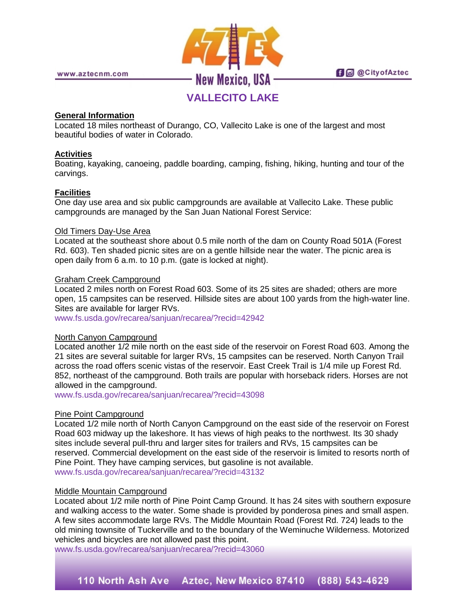# **VALLECITO LAKE**

# **General Information**

Located 18 miles northeast of Durango, CO, Vallecito Lake is one of the largest and most beautiful bodies of water in Colorado.

# **Activities**

Boating, kayaking, canoeing, paddle boarding, camping, fishing, hiking, hunting and tour of the carvings.

# **Facilities**

One day use area and six public campgrounds are available at Vallecito Lake. These public campgrounds are managed by the San Juan National Forest Service:

# Old Timers Day-Use Area

Located at the southeast shore about 0.5 mile north of the dam on County Road 501A (Forest Rd. 603). Ten shaded picnic sites are on a gentle hillside near the water. The picnic area is open daily from 6 a.m. to 10 p.m. (gate is locked at night).

# Graham Creek Campground

Located 2 miles north on Forest Road 603. Some of its 25 sites are shaded; others are more open, 15 campsites can be reserved. Hillside sites are about 100 yards from the high-water line. Sites are available for larger RVs.

[www.fs.usda.gov/recarea/sanjuan/recarea/?recid=42942](http://www.fs.usda.gov/recarea/sanjuan/recarea/?recid=42942)

#### North Canyon Campground

Located another 1/2 mile north on the east side of the reservoir on Forest Road 603. Among the 21 sites are several suitable for larger RVs, 15 campsites can be reserved. North Canyon Trail across the road offers scenic vistas of the reservoir. East Creek Trail is 1/4 mile up Forest Rd. 852, northeast of the campground. Both trails are popular with horseback riders. Horses are not allowed in the campground.

[www.fs.usda.gov/recarea/sanjuan/recarea/?recid=43098](http://www.fs.usda.gov/recarea/sanjuan/recarea/?recid=43098)

# Pine Point Campground

Located 1/2 mile north of North Canyon Campground on the east side of the reservoir on Forest Road 603 midway up the lakeshore. It has views of high peaks to the northwest. Its 30 shady sites include several pull-thru and larger sites for trailers and RVs, 15 campsites can be reserved. Commercial development on the east side of the reservoir is limited to resorts north of Pine Point. They have camping services, but gasoline is not available. [www.fs.usda.gov/recarea/sanjuan/recarea/?recid=43132](http://www.fs.usda.gov/recarea/sanjuan/recarea/?recid=43132)

#### Middle Mountain Campground

Located about 1/2 mile north of Pine Point Camp Ground. It has 24 sites with southern exposure and walking access to the water. Some shade is provided by ponderosa pines and small aspen. A few sites accommodate large RVs. The Middle Mountain Road (Forest Rd. 724) leads to the old mining townsite of Tuckerville and to the boundary of the Weminuche Wilderness. Motorized vehicles and bicycles are not allowed past this point.

[www.fs.usda.gov/recarea/sanjuan/recarea/?recid=43060](http://www.fs.usda.gov/recarea/sanjuan/recarea/?recid=43060)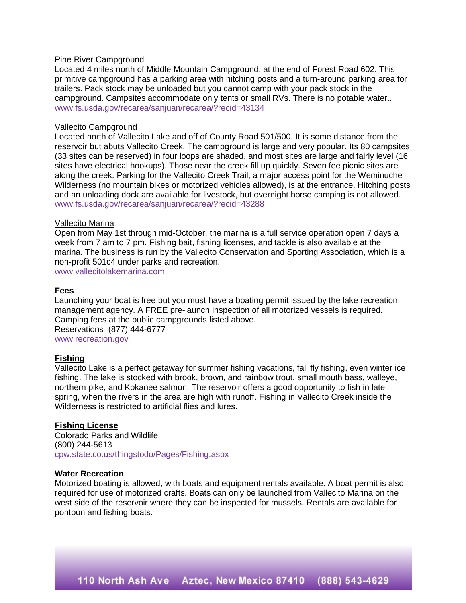#### Pine River Campground

Located 4 miles north of Middle Mountain Campground, at the end of Forest Road 602. This primitive campground has a parking area with hitching posts and a turn-around parking area for trailers. Pack stock may be unloaded but you cannot camp with your pack stock in the campground. Campsites accommodate only tents or small RVs. There is no potable water.. [www.fs.usda.gov/recarea/sanjuan/recarea/?recid=43134](http://www.fs.usda.gov/recarea/sanjuan/recarea/?recid=43134)

#### Vallecito Campground

Located north of Vallecito Lake and off of County Road 501/500. It is some distance from the reservoir but abuts Vallecito Creek. The campground is large and very popular. Its 80 campsites (33 sites can be reserved) in four loops are shaded, and most sites are large and fairly level (16 sites have electrical hookups). Those near the creek fill up quickly. Seven fee picnic sites are along the creek. Parking for the Vallecito Creek Trail, a major access point for the Weminuche Wilderness (no mountain bikes or motorized vehicles allowed), is at the entrance. Hitching posts and an unloading dock are available for livestock, but overnight horse camping is not allowed. [www.fs.usda.gov/recarea/sanjuan/recarea/?recid=43288](http://www.fs.usda.gov/recarea/sanjuan/recarea/?recid=43288)

#### Vallecito Marina

Open from May 1st through mid-October, the marina is a full service operation open 7 days a week from 7 am to 7 pm. Fishing bait, fishing licenses, and tackle is also available at the marina. The business is run by the Vallecito Conservation and Sporting Association, which is a non-profit 501c4 under parks and recreation.

[www.vallecitolakemarina.com](http://www.vallecitolakemarina.com/)

#### **Fees**

Launching your boat is free but you must have a boating permit issued by the lake recreation management agency. A FREE pre-launch inspection of all motorized vessels is required. Camping fees at the public campgrounds listed above. Reservations (877) 444-6777 [www.recreation.gov](http://www.recreation.gov/) 

### **Fishing**

Vallecito Lake is a perfect getaway for summer fishing vacations, fall fly fishing, even winter ice fishing. The lake is stocked with brook, brown, and rainbow trout, small mouth bass, walleye, northern pike, and Kokanee salmon. The reservoir offers a good opportunity to fish in late spring, when the rivers in the area are high with runoff. Fishing in Vallecito Creek inside the Wilderness is restricted to artificial flies and lures.

#### **Fishing License**

Colorado Parks and Wildlife (800) 244-5613 [cpw.state.co.us/thingstodo/Pages/Fishing.aspx](http://cpw.state.co.us/thingstodo/Pages/Fishing.aspx)

#### **Water Recreation**

Motorized boating is allowed, with boats and equipment rentals available. A boat permit is also required for use of motorized crafts. Boats can only be launched from Vallecito Marina on the west side of the reservoir where they can be inspected for mussels. Rentals are available for pontoon and fishing boats.

110 North Ash Ave Aztec, New Mexico 87410 (888) 543-4629